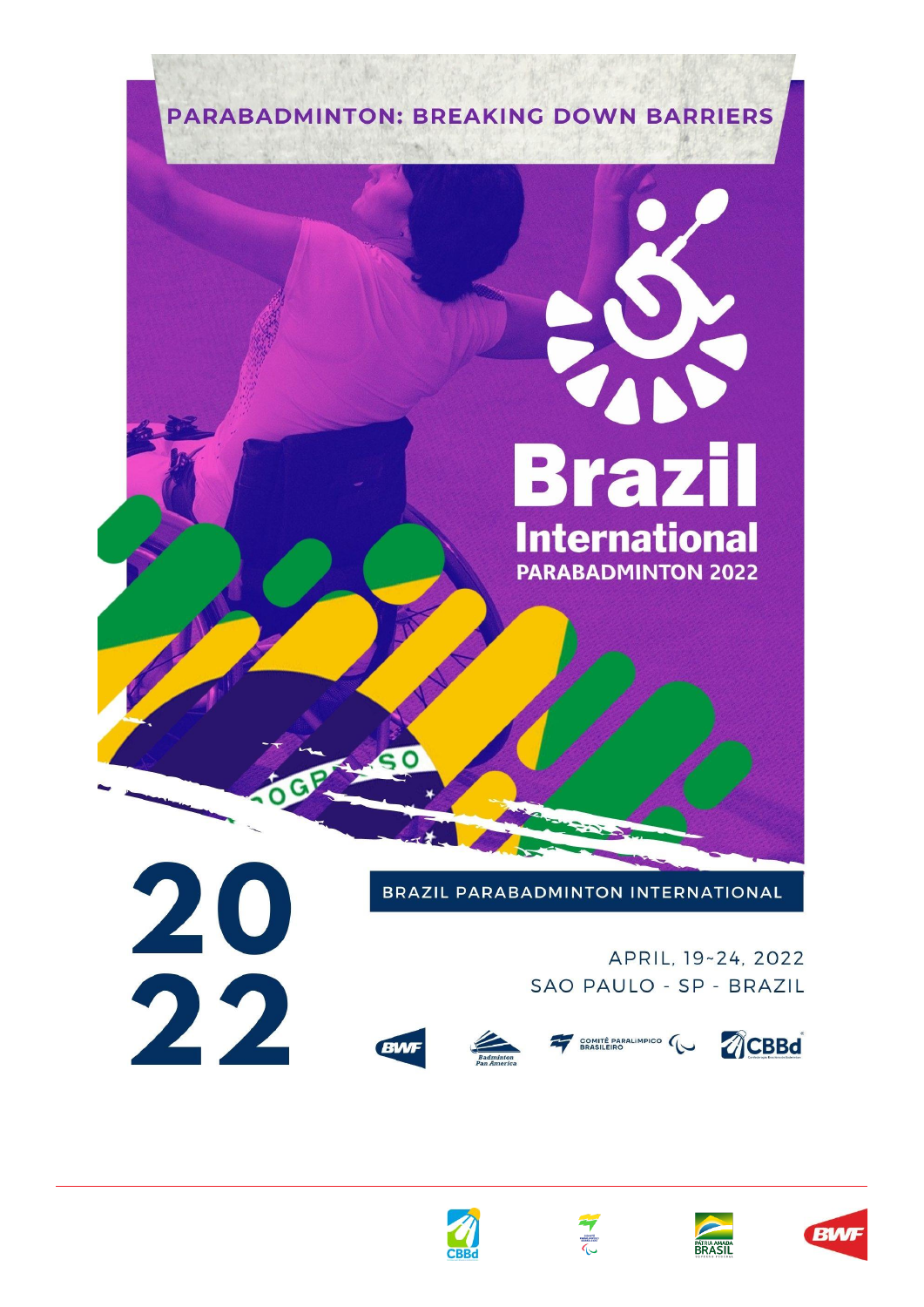





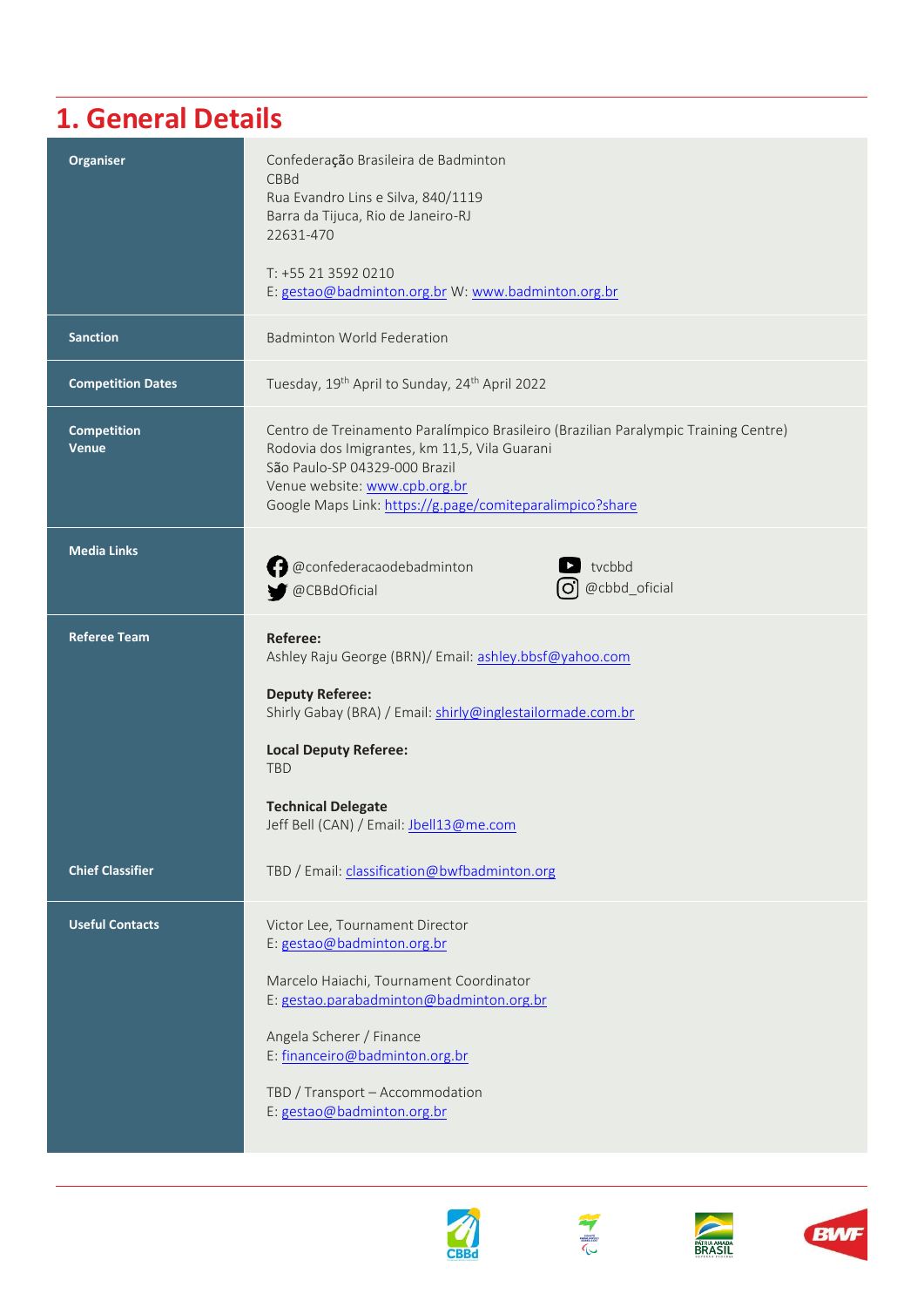### **1. General Details**

| <b>Organiser</b>                   | Confederação Brasileira de Badminton<br>CBBd<br>Rua Evandro Lins e Silva, 840/1119<br>Barra da Tijuca, Rio de Janeiro-RJ<br>22631-470<br>T: +55 21 3592 0210<br>E: gestao@badminton.org.br W: www.badminton.org.br                                                                  |
|------------------------------------|-------------------------------------------------------------------------------------------------------------------------------------------------------------------------------------------------------------------------------------------------------------------------------------|
| <b>Sanction</b>                    | <b>Badminton World Federation</b>                                                                                                                                                                                                                                                   |
| <b>Competition Dates</b>           | Tuesday, 19 <sup>th</sup> April to Sunday, 24 <sup>th</sup> April 2022                                                                                                                                                                                                              |
| <b>Competition</b><br><b>Venue</b> | Centro de Treinamento Paralímpico Brasileiro (Brazilian Paralympic Training Centre)<br>Rodovia dos Imigrantes, km 11,5, Vila Guarani<br>São Paulo-SP 04329-000 Brazil<br>Venue website: www.cpb.org.br<br>Google Maps Link: https://g.page/comiteparalimpico?share                  |
| <b>Media Links</b>                 | @confederacaodebadminton<br>tvcbbd<br>@cbbd_oficial<br>@CBBdOficial<br>$\circ$                                                                                                                                                                                                      |
| <b>Referee Team</b>                | Referee:<br>Ashley Raju George (BRN)/ Email: ashley.bbsf@yahoo.com<br><b>Deputy Referee:</b><br>Shirly Gabay (BRA) / Email: shirly@inglestailormade.com.br<br><b>Local Deputy Referee:</b><br><b>TBD</b><br><b>Technical Delegate</b><br>Jeff Bell (CAN) / Email: Jbell13@me.com    |
| <b>Chief Classifier</b>            | TBD / Email: classification@bwfbadminton.org                                                                                                                                                                                                                                        |
| <b>Useful Contacts</b>             | Victor Lee, Tournament Director<br>E: gestao@badminton.org.br<br>Marcelo Haiachi, Tournament Coordinator<br>E: gestao.parabadminton@badminton.org.br<br>Angela Scherer / Finance<br>E: financeiro@badminton.org.br<br>TBD / Transport - Accommodation<br>E: gestao@badminton.org.br |







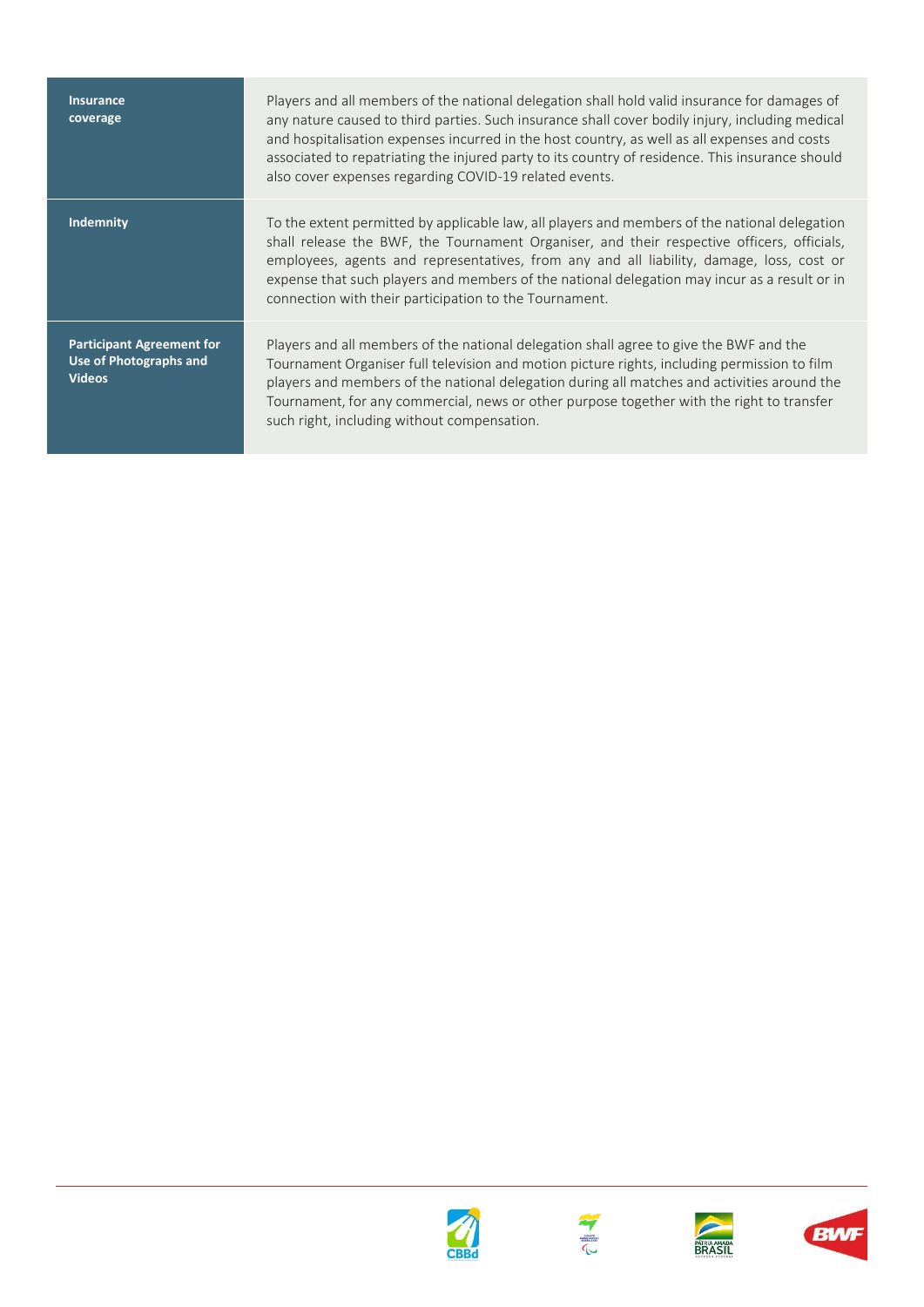**Insurance coverage**

**Participant Agreement for Use of Photographs and Videos**

Players and all members of the national delegation shall hold valid insurance for damages of any nature caused to third parties. Such insurance shall cover bodily injury, including medical and hospitalisation expenses incurred in the host country, as well as all expenses and costs associated to repatriating the injured party to its country of residence. This insurance should also cover expenses regarding COVID-19 related events.

**Indemnity** To the extent permitted by applicable law, all players and members of the national delegation shall release the BWF, the Tournament Organiser, and their respective officers, officials, employees, agents and representatives, from any and all liability, damage, loss, cost or expense that such players and members of the national delegation may incur as a result or in connection with their participation to the Tournament.

> Players and all members of the national delegation shall agree to give the BWF and the Tournament Organiser full television and motion picture rights, including permission to film players and members of the national delegation during all matches and activities around the Tournament, for any commercial, news or other purpose together with the right to transfer such right, including without compensation.







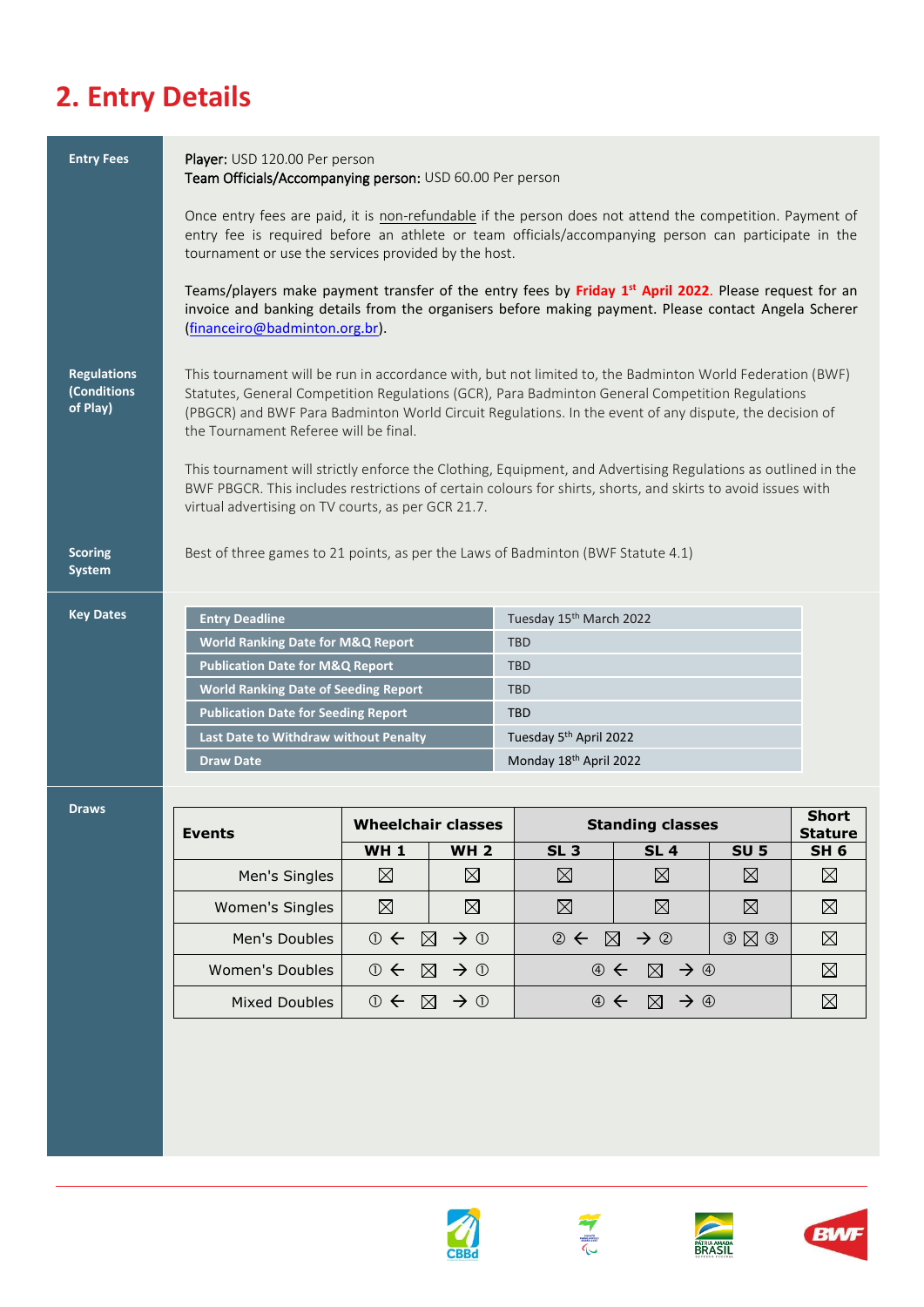# **2. Entry Details**

| <b>Entry Fees</b>                             | Player: USD 120.00 Per person<br>Team Officials/Accompanying person: USD 60.00 Per person                                                                                                                                                                                                                                                                                                                                                                                                                                                                                                                                                             |                           |                                |                                                                                                                                     |                            |                            |                                |
|-----------------------------------------------|-------------------------------------------------------------------------------------------------------------------------------------------------------------------------------------------------------------------------------------------------------------------------------------------------------------------------------------------------------------------------------------------------------------------------------------------------------------------------------------------------------------------------------------------------------------------------------------------------------------------------------------------------------|---------------------------|--------------------------------|-------------------------------------------------------------------------------------------------------------------------------------|----------------------------|----------------------------|--------------------------------|
|                                               | Once entry fees are paid, it is non-refundable if the person does not attend the competition. Payment of<br>entry fee is required before an athlete or team officials/accompanying person can participate in the<br>tournament or use the services provided by the host.<br>Teams/players make payment transfer of the entry fees by Friday 1 <sup>st</sup> April 2022. Please request for an                                                                                                                                                                                                                                                         |                           |                                |                                                                                                                                     |                            |                            |                                |
|                                               | invoice and banking details from the organisers before making payment. Please contact Angela Scherer<br>(financeiro@badminton.org.br).                                                                                                                                                                                                                                                                                                                                                                                                                                                                                                                |                           |                                |                                                                                                                                     |                            |                            |                                |
| <b>Regulations</b><br>(Conditions<br>of Play) | This tournament will be run in accordance with, but not limited to, the Badminton World Federation (BWF)<br>Statutes, General Competition Regulations (GCR), Para Badminton General Competition Regulations<br>(PBGCR) and BWF Para Badminton World Circuit Regulations. In the event of any dispute, the decision of<br>the Tournament Referee will be final.<br>This tournament will strictly enforce the Clothing, Equipment, and Advertising Regulations as outlined in the<br>BWF PBGCR. This includes restrictions of certain colours for shirts, shorts, and skirts to avoid issues with<br>virtual advertising on TV courts, as per GCR 21.7. |                           |                                |                                                                                                                                     |                            |                            |                                |
| <b>Scoring</b><br>System                      | Best of three games to 21 points, as per the Laws of Badminton (BWF Statute 4.1)                                                                                                                                                                                                                                                                                                                                                                                                                                                                                                                                                                      |                           |                                |                                                                                                                                     |                            |                            |                                |
| <b>Key Dates</b>                              | <b>Entry Deadline</b><br><b>World Ranking Date for M&amp;Q Report</b><br><b>Publication Date for M&amp;Q Report</b><br><b>World Ranking Date of Seeding Report</b><br><b>Publication Date for Seeding Report</b><br>Last Date to Withdraw without Penalty<br><b>Draw Date</b>                                                                                                                                                                                                                                                                                                                                                                         |                           |                                | Tuesday 15th March 2022<br><b>TBD</b><br><b>TBD</b><br><b>TBD</b><br><b>TBD</b><br>Tuesday 5th April 2022<br>Monday 18th April 2022 |                            |                            |                                |
| <b>Draws</b>                                  | Events                                                                                                                                                                                                                                                                                                                                                                                                                                                                                                                                                                                                                                                | <b>Wheelchair classes</b> |                                |                                                                                                                                     | <b>Standing classes</b>    |                            | <b>Short</b><br><b>Stature</b> |
|                                               | Men's Singles                                                                                                                                                                                                                                                                                                                                                                                                                                                                                                                                                                                                                                         | <b>WH1</b><br>$\boxtimes$ | <b>WH2</b><br>$\boxtimes$      | SL <sub>3</sub><br>$\boxtimes$                                                                                                      | <b>SL 4</b><br>$\boxtimes$ | <b>SU 5</b><br>$\boxtimes$ | SH <sub>6</sub><br>$\boxtimes$ |
|                                               | <b>Women's Singles</b>                                                                                                                                                                                                                                                                                                                                                                                                                                                                                                                                                                                                                                |                           |                                |                                                                                                                                     |                            |                            |                                |
|                                               |                                                                                                                                                                                                                                                                                                                                                                                                                                                                                                                                                                                                                                                       | $\boxtimes$               | $\boxtimes$                    | $\boxtimes$                                                                                                                         | $\boxtimes$                | $\boxtimes$                | $\boxtimes$                    |
|                                               | Men's Doubles                                                                                                                                                                                                                                                                                                                                                                                                                                                                                                                                                                                                                                         | $\rightarrow$ 0           | $\boxtimes$<br>$\rightarrow$ 0 | $\circledcirc$<br>$\boxtimes$                                                                                                       | $\rightarrow$ ②            | $O$ $\boxtimes$ $O$        | $\boxtimes$                    |
|                                               | Women's Doubles                                                                                                                                                                                                                                                                                                                                                                                                                                                                                                                                                                                                                                       | $\rightarrow$ 0           | $\rightarrow$ 0<br>$\boxtimes$ | $\circledA$                                                                                                                         | ⊠<br>$\rightarrow$ 4       |                            | $\boxtimes$                    |
|                                               | <b>Mixed Doubles</b>                                                                                                                                                                                                                                                                                                                                                                                                                                                                                                                                                                                                                                  | $\rightarrow$ 0           | $\rightarrow$ 0<br>$\boxtimes$ | $\oplus$ $\leftarrow$                                                                                                               | $\rightarrow$ 4<br>⊠       |                            | ⊠                              |
|                                               |                                                                                                                                                                                                                                                                                                                                                                                                                                                                                                                                                                                                                                                       |                           |                                |                                                                                                                                     |                            |                            |                                |







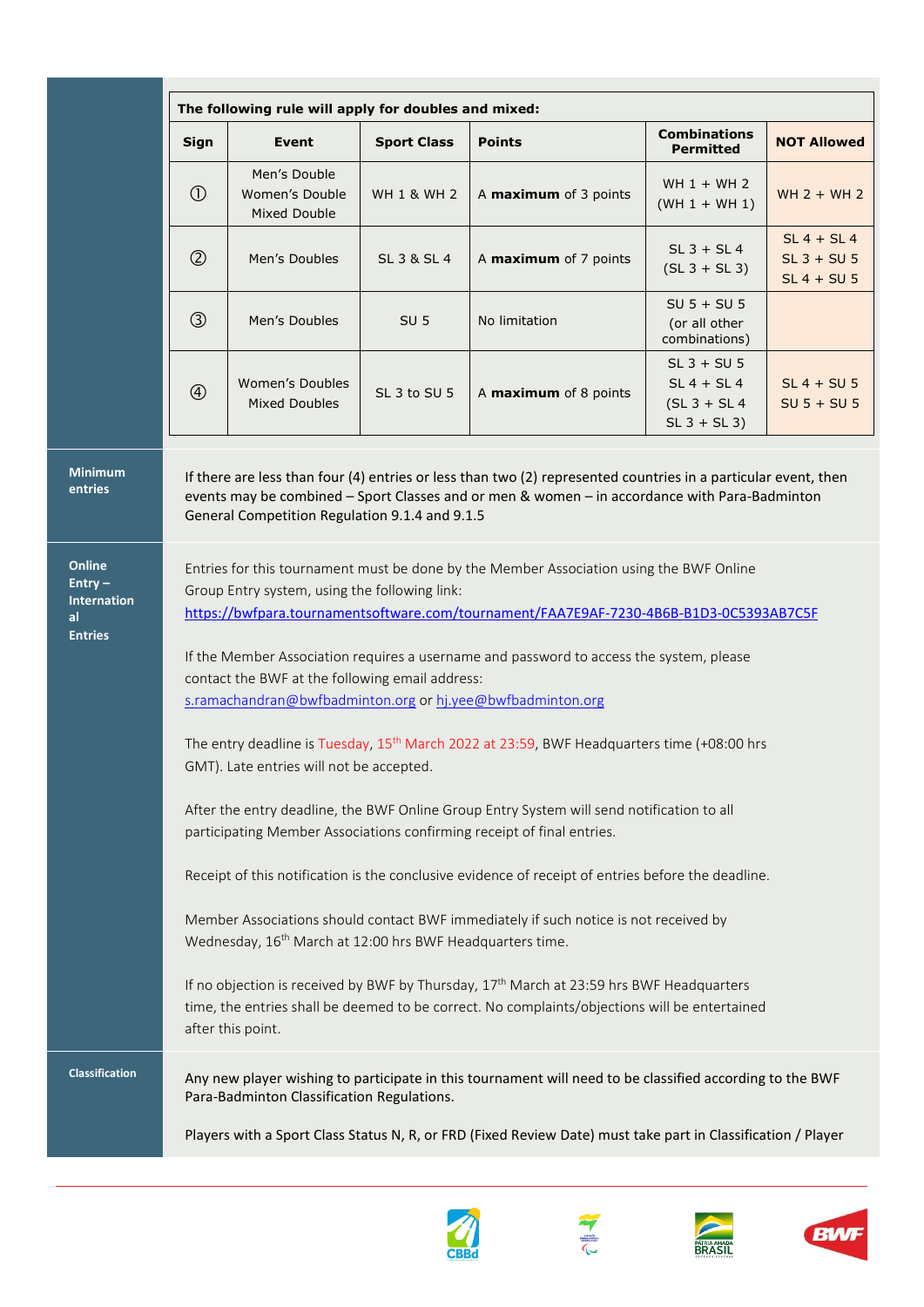| Sign          | <b>Event</b>                                                                                                  | <b>Sport Class</b>     | <b>Points</b>                                                                                                                                                                                                   | <b>Combinations</b><br><b>Permitted</b>                            | <b>NOT Allowed</b>                              |
|---------------|---------------------------------------------------------------------------------------------------------------|------------------------|-----------------------------------------------------------------------------------------------------------------------------------------------------------------------------------------------------------------|--------------------------------------------------------------------|-------------------------------------------------|
| $\circled{0}$ | Men's Double<br>Women's Double<br><b>Mixed Double</b>                                                         | <b>WH 1 &amp; WH 2</b> | A maximum of 3 points                                                                                                                                                                                           | WH $1 + WH$ 2<br>$(WH 1 + WH 1)$                                   | $WH 2 + WH 2$                                   |
| $\circled{2}$ | Men's Doubles                                                                                                 | SL 3 & SL 4            | A maximum of 7 points                                                                                                                                                                                           | $SL$ 3 + $SL$ 4<br>$(SL 3 + SL 3)$                                 | $SL 4 + SL 4$<br>$SL$ 3 + SU 5<br>$SL 4 + SU 5$ |
| $\circled{3}$ | Men's Doubles                                                                                                 | SU <sub>5</sub>        | No limitation                                                                                                                                                                                                   | $SU 5 + SU 5$<br>(or all other<br>combinations)                    |                                                 |
| $\circledA$   | Women's Doubles<br><b>Mixed Doubles</b>                                                                       | SL 3 to SU 5           | A maximum of 8 points                                                                                                                                                                                           | $SL$ 3 + $SU$ 5<br>$SL 4 + SL 4$<br>$(SL3 + SL4)$<br>$SL 3 + SL 3$ | $SL 4 + SU 5$<br>$SU 5 + SU 5$                  |
|               | General Competition Regulation 9.1.4 and 9.1.5                                                                |                        | If there are less than four (4) entries or less than two (2) represented countries in a particular event, then<br>events may be combined - Sport Classes and or men & women - in accordance with Para-Badminton |                                                                    |                                                 |
|               | Group Entry system, using the following link:                                                                 |                        | Entries for this tournament must be done by the Member Association using the BWF Online<br>https://bwfpara.tournamentsoftware.com/tournament/FAA7E9AF-7230-4B6B-B1D3-0C5393AB7C5F                               |                                                                    |                                                 |
|               | contact the BWF at the following email address:<br>s.ramachandran@bwfbadminton.org or hj.yee@bwfbadminton.org |                        | If the Member Association requires a username and password to access the system, please                                                                                                                         |                                                                    |                                                 |
|               | GMT). Late entries will not be accepted.                                                                      |                        | The entry deadline is Tuesday, 15 <sup>th</sup> March 2022 at 23:59, BWF Headquarters time (+08:00 hrs                                                                                                          |                                                                    |                                                 |
|               |                                                                                                               |                        | After the entry deadline, the BWF Online Group Entry System will send notification to all<br>participating Member Associations confirming receipt of final entries.                                             |                                                                    |                                                 |
|               |                                                                                                               |                        | Receipt of this notification is the conclusive evidence of receipt of entries before the deadline.                                                                                                              |                                                                    |                                                 |
|               | Wednesday, 16 <sup>th</sup> March at 12:00 hrs BWF Headquarters time.                                         |                        | Member Associations should contact BWF immediately if such notice is not received by                                                                                                                            |                                                                    |                                                 |
|               | after this point.                                                                                             |                        | If no objection is received by BWF by Thursday, $17^{th}$ March at 23:59 hrs BWF Headquarters<br>time, the entries shall be deemed to be correct. No complaints/objections will be entertained                  |                                                                    |                                                 |
|               | Para-Badminton Classification Regulations.                                                                    |                        | Any new player wishing to participate in this tournament will need to be classified according to the BWF                                                                                                        |                                                                    |                                                 |
|               |                                                                                                               |                        | Players with a Sport Class Status N, R, or FRD (Fixed Review Date) must take part in Classification / Player                                                                                                    |                                                                    |                                                 |







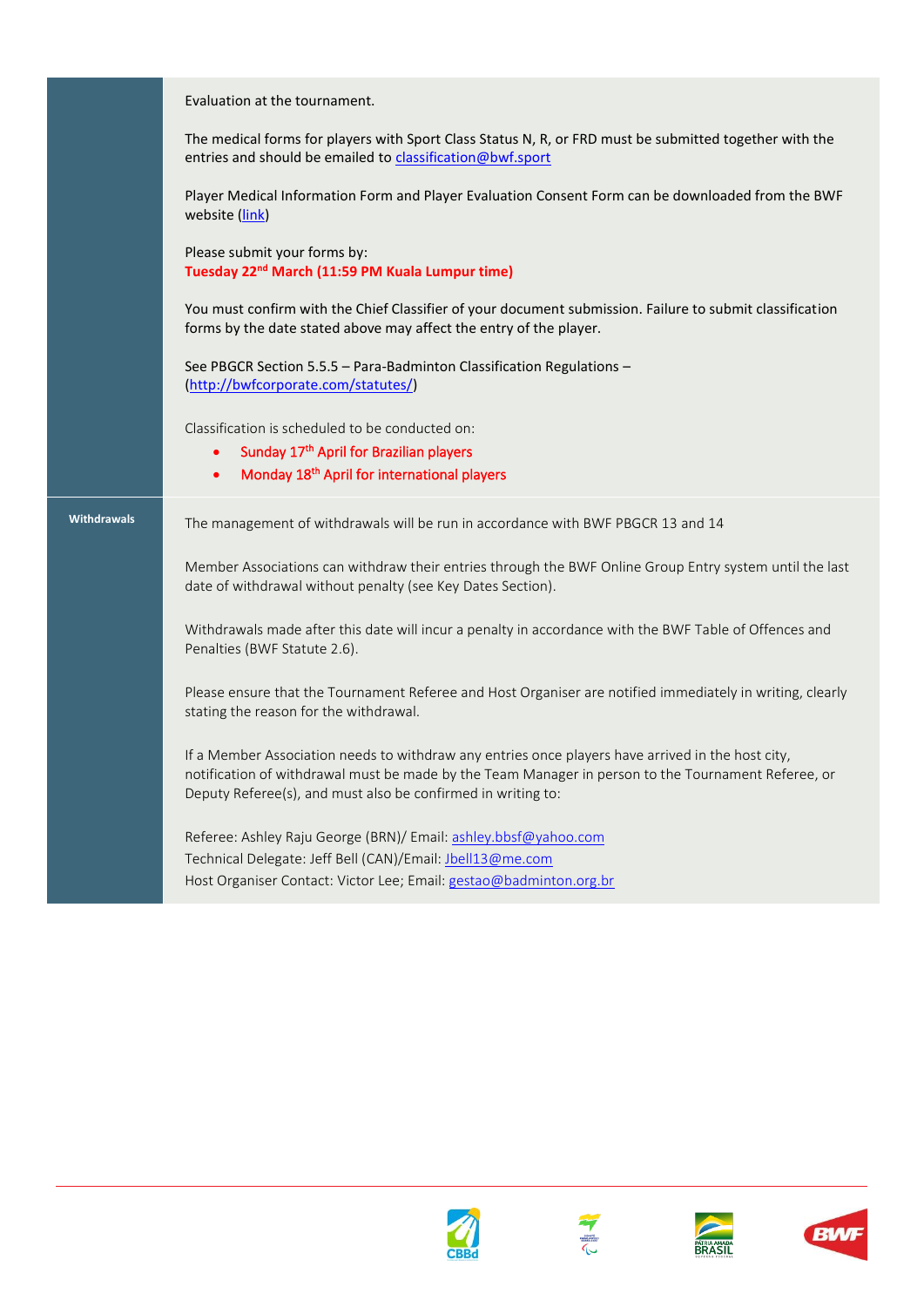Evaluation at the tournament.

The medical forms for players with Sport Class Status N, R, or FRD must be submitted together with the entries and should be emailed to [classification@bwf.sport](mailto:classification@bwf.sport)

Player Medical Information Form and Player Evaluation Consent Form can be downloaded from the BWF website [\(link\)](http://bwfcorporate.com/para-badminton/classification/)

Please submit your forms by: **Tuesday 22nd March (11:59 PM Kuala Lumpur time)**

You must confirm with the Chief Classifier of your document submission. Failure to submit classification forms by the date stated above may affect the entry of the player.

See PBGCR Section 5.5.5 – Para-Badminton Classification Regulations – [\(http://bwfcorporate.com/statutes/\)](http://bwfcorporate.com/statutes/)

Classification is scheduled to be conducted on:

- Sunday 17<sup>th</sup> April for Brazilian players
- Monday 18<sup>th</sup> April for international players

**Withdrawals** The management of withdrawals will be run in accordance with BWF PBGCR 13 and 14

Member Associations can withdraw their entries through the BWF Online Group Entry system until the last date of withdrawal without penalty (see Key Dates Section).

Withdrawals made after this date will incur a penalty in accordance with the BWF Table of Offences and Penalties (BWF Statute 2.6).

Please ensure that the Tournament Referee and Host Organiser are notified immediately in writing, clearly stating the reason for the withdrawal.

If a Member Association needs to withdraw any entries once players have arrived in the host city, notification of withdrawal must be made by the Team Manager in person to the Tournament Referee, or Deputy Referee(s), and must also be confirmed in writing to:

Referee: Ashley Raju George (BRN)/ Email: [ashley.bbsf@yahoo.com](mailto:ashley.bbsf@yahoo.com) Technical Delegate: Jeff Bell (CAN)/Email: [Jbell13@me.com](mailto:Jbell13@me.com) Host Organiser Contact: Victor Lee; Email[: gestao@badminton.org.br](mailto:gestao@badminton.org.br)







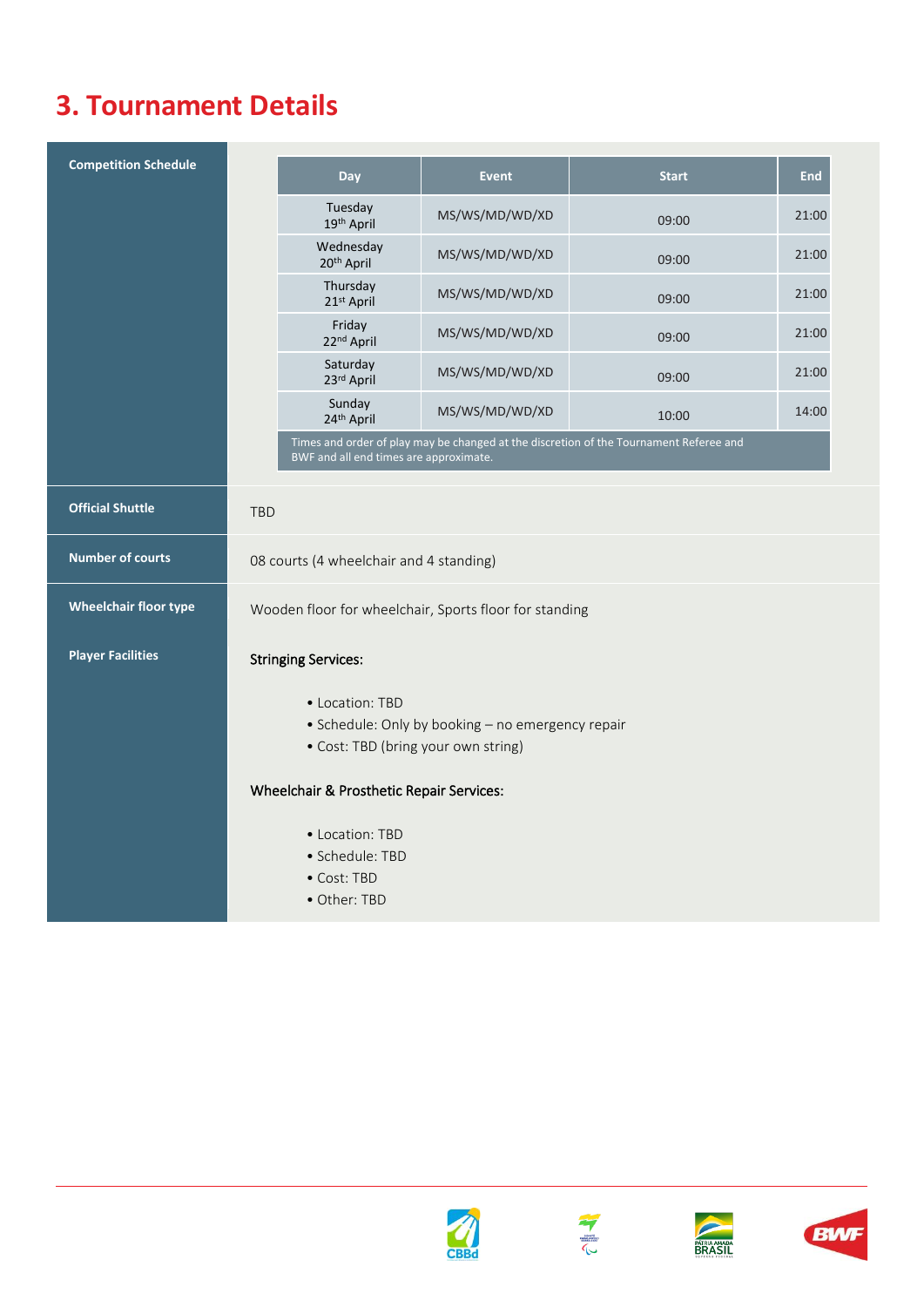## **3. Tournament Details**

| <b>Competition Schedule</b>  |                                                        | <b>Day</b>                               | <b>Event</b>                                      | <b>Start</b>                                                                           | <b>End</b> |
|------------------------------|--------------------------------------------------------|------------------------------------------|---------------------------------------------------|----------------------------------------------------------------------------------------|------------|
|                              |                                                        | Tuesday<br>19th April                    | MS/WS/MD/WD/XD                                    | 09:00                                                                                  | 21:00      |
|                              |                                                        | Wednesday<br>20 <sup>th</sup> April      | MS/WS/MD/WD/XD                                    | 09:00                                                                                  | 21:00      |
|                              |                                                        | Thursday<br>21st April                   | MS/WS/MD/WD/XD                                    | 09:00                                                                                  | 21:00      |
|                              |                                                        | Friday<br>22nd April                     | MS/WS/MD/WD/XD                                    | 09:00                                                                                  | 21:00      |
|                              |                                                        | Saturday<br>23rd April                   | MS/WS/MD/WD/XD                                    | 09:00                                                                                  | 21:00      |
|                              |                                                        | Sunday<br>24th April                     | MS/WS/MD/WD/XD                                    | 10:00                                                                                  | 14:00      |
|                              |                                                        | BWF and all end times are approximate.   |                                                   | Times and order of play may be changed at the discretion of the Tournament Referee and |            |
| <b>Official Shuttle</b>      |                                                        |                                          |                                                   |                                                                                        |            |
|                              | <b>TBD</b>                                             |                                          |                                                   |                                                                                        |            |
| <b>Number of courts</b>      | 08 courts (4 wheelchair and 4 standing)                |                                          |                                                   |                                                                                        |            |
| <b>Wheelchair floor type</b> | Wooden floor for wheelchair, Sports floor for standing |                                          |                                                   |                                                                                        |            |
| <b>Player Facilities</b>     | <b>Stringing Services:</b>                             |                                          |                                                   |                                                                                        |            |
|                              |                                                        | • Location: TBD                          |                                                   |                                                                                        |            |
|                              |                                                        |                                          | • Schedule: Only by booking - no emergency repair |                                                                                        |            |
|                              |                                                        |                                          | • Cost: TBD (bring your own string)               |                                                                                        |            |
|                              |                                                        | Wheelchair & Prosthetic Repair Services: |                                                   |                                                                                        |            |
|                              |                                                        | • Location: TBD                          |                                                   |                                                                                        |            |
|                              |                                                        | · Schedule: TBD                          |                                                   |                                                                                        |            |
|                              |                                                        | • Cost: TBD                              |                                                   |                                                                                        |            |
|                              |                                                        | • Other: TBD                             |                                                   |                                                                                        |            |







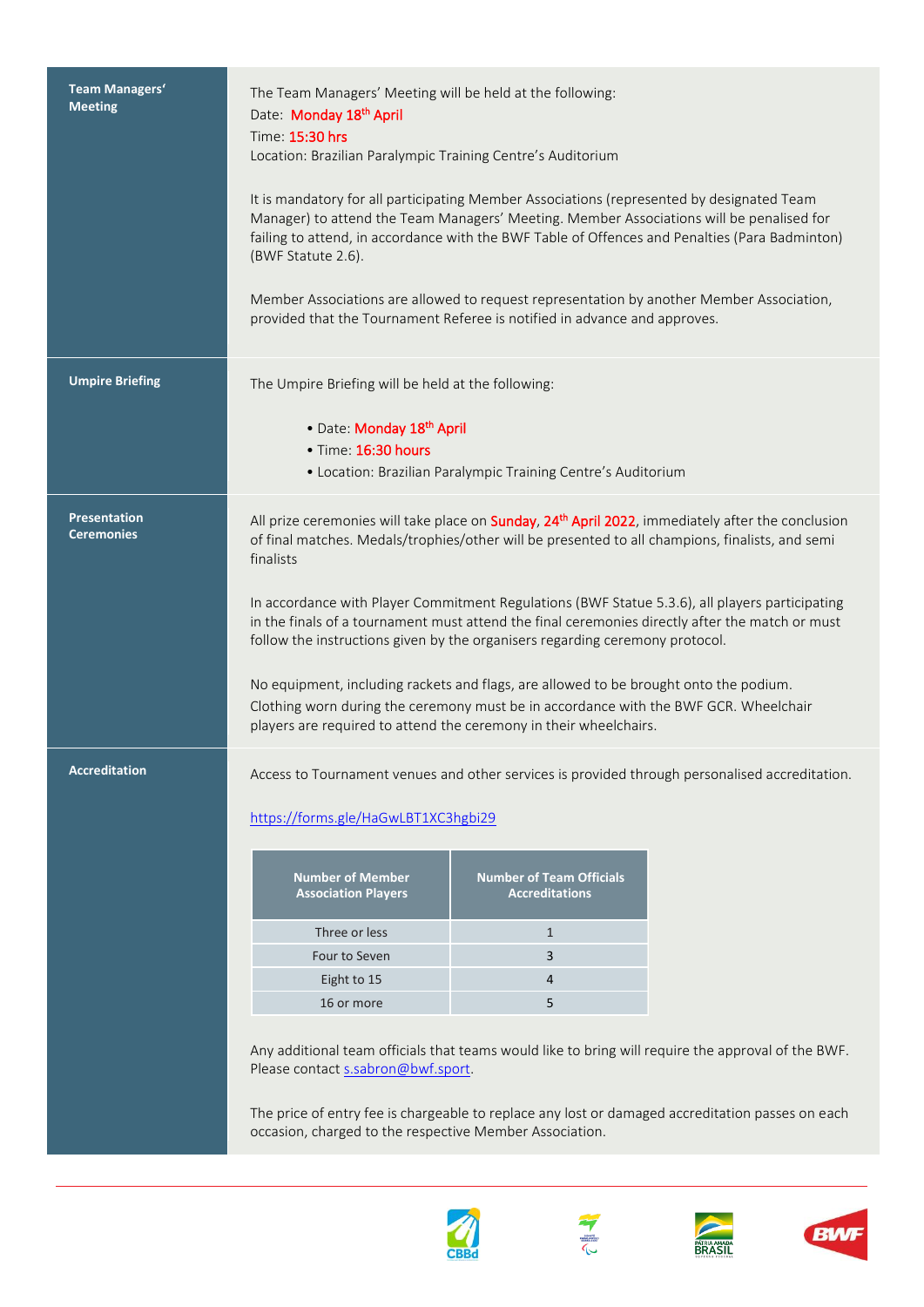| <b>Team Managers'</b><br><b>Meeting</b>  | The Team Managers' Meeting will be held at the following:<br>Date: Monday 18th April<br>Time: 15:30 hrs<br>Location: Brazilian Paralympic Training Centre's Auditorium<br>It is mandatory for all participating Member Associations (represented by designated Team<br>Manager) to attend the Team Managers' Meeting. Member Associations will be penalised for<br>failing to attend, in accordance with the BWF Table of Offences and Penalties (Para Badminton)<br>(BWF Statute 2.6).<br>Member Associations are allowed to request representation by another Member Association,<br>provided that the Tournament Referee is notified in advance and approves. |                                                                                         |                                                                                                                                                                                                                                                                                                          |  |
|------------------------------------------|------------------------------------------------------------------------------------------------------------------------------------------------------------------------------------------------------------------------------------------------------------------------------------------------------------------------------------------------------------------------------------------------------------------------------------------------------------------------------------------------------------------------------------------------------------------------------------------------------------------------------------------------------------------|-----------------------------------------------------------------------------------------|----------------------------------------------------------------------------------------------------------------------------------------------------------------------------------------------------------------------------------------------------------------------------------------------------------|--|
| <b>Umpire Briefing</b>                   | The Umpire Briefing will be held at the following:<br>· Date: Monday 18th April<br>· Time: 16:30 hours                                                                                                                                                                                                                                                                                                                                                                                                                                                                                                                                                           | • Location: Brazilian Paralympic Training Centre's Auditorium                           |                                                                                                                                                                                                                                                                                                          |  |
| <b>Presentation</b><br><b>Ceremonies</b> | of final matches. Medals/trophies/other will be presented to all champions, finalists, and semi<br>finalists<br>In accordance with Player Commitment Regulations (BWF Statue 5.3.6), all players participating<br>in the finals of a tournament must attend the final ceremonies directly after the match or must<br>follow the instructions given by the organisers regarding ceremony protocol.<br>No equipment, including rackets and flags, are allowed to be brought onto the podium.<br>Clothing worn during the ceremony must be in accordance with the BWF GCR. Wheelchair<br>players are required to attend the ceremony in their wheelchairs.          |                                                                                         | All prize ceremonies will take place on Sunday, 24 <sup>th</sup> April 2022, immediately after the conclusion                                                                                                                                                                                            |  |
| <b>Accreditation</b>                     | https://forms.gle/HaGwLBT1XC3hgbi29<br><b>Number of Member</b><br><b>Association Players</b><br>Three or less<br>Four to Seven<br>Eight to 15<br>16 or more<br>Please contact s.sabron@bwf.sport.                                                                                                                                                                                                                                                                                                                                                                                                                                                                | <b>Number of Team Officials</b><br><b>Accreditations</b><br>$\mathbf{1}$<br>3<br>4<br>5 | Access to Tournament venues and other services is provided through personalised accreditation.<br>Any additional team officials that teams would like to bring will require the approval of the BWF.<br>The price of entry fee is chargeable to replace any lost or damaged accreditation passes on each |  |
|                                          | occasion, charged to the respective Member Association.                                                                                                                                                                                                                                                                                                                                                                                                                                                                                                                                                                                                          |                                                                                         |                                                                                                                                                                                                                                                                                                          |  |







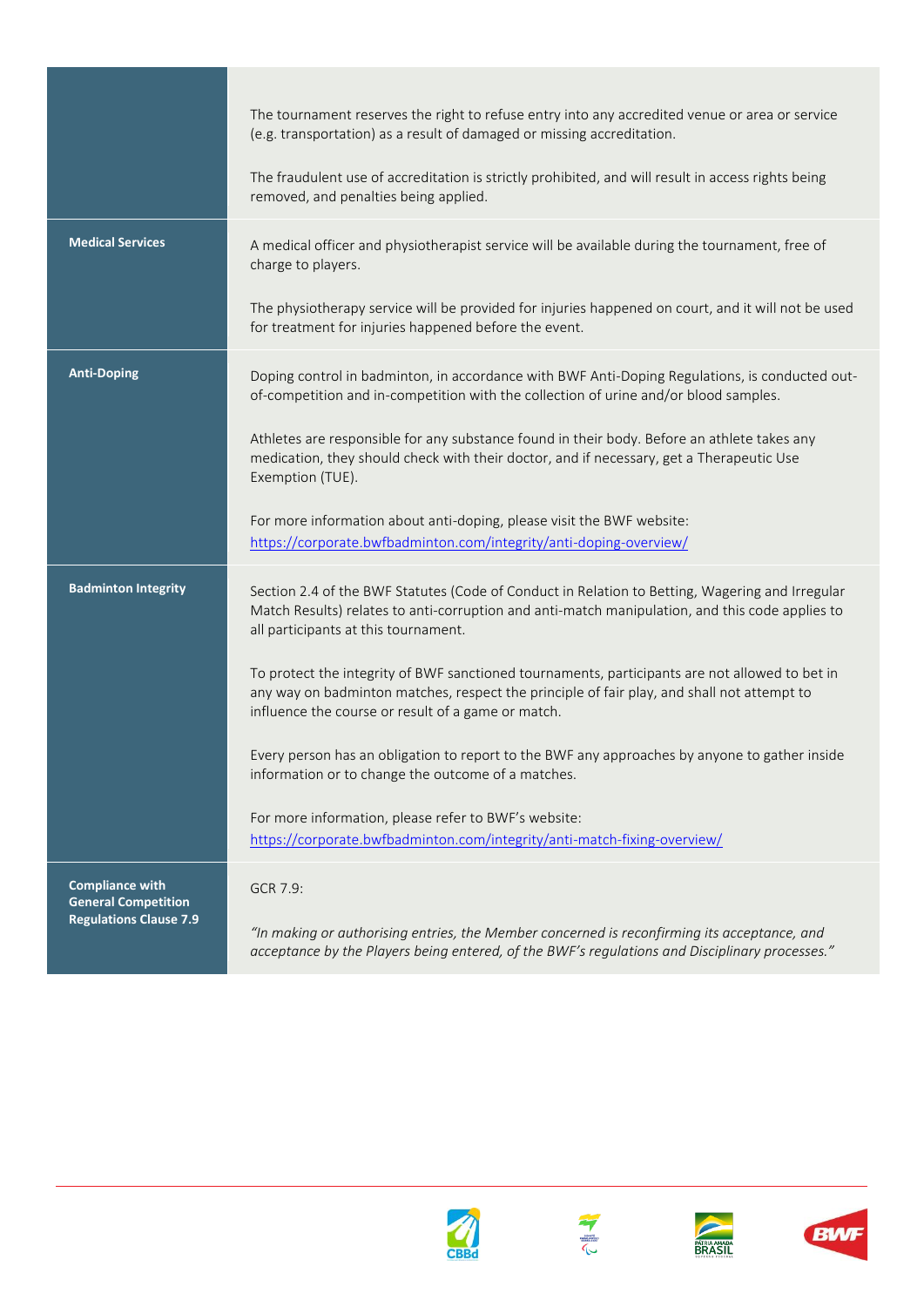|                                                             | The tournament reserves the right to refuse entry into any accredited venue or area or service<br>(e.g. transportation) as a result of damaged or missing accreditation.                                                                           |
|-------------------------------------------------------------|----------------------------------------------------------------------------------------------------------------------------------------------------------------------------------------------------------------------------------------------------|
|                                                             | The fraudulent use of accreditation is strictly prohibited, and will result in access rights being<br>removed, and penalties being applied.                                                                                                        |
| <b>Medical Services</b>                                     | A medical officer and physiotherapist service will be available during the tournament, free of<br>charge to players.                                                                                                                               |
|                                                             | The physiotherapy service will be provided for injuries happened on court, and it will not be used<br>for treatment for injuries happened before the event.                                                                                        |
| <b>Anti-Doping</b>                                          | Doping control in badminton, in accordance with BWF Anti-Doping Regulations, is conducted out-<br>of-competition and in-competition with the collection of urine and/or blood samples.                                                             |
|                                                             | Athletes are responsible for any substance found in their body. Before an athlete takes any<br>medication, they should check with their doctor, and if necessary, get a Therapeutic Use<br>Exemption (TUE).                                        |
|                                                             | For more information about anti-doping, please visit the BWF website:<br>https://corporate.bwfbadminton.com/integrity/anti-doping-overview/                                                                                                        |
| <b>Badminton Integrity</b>                                  | Section 2.4 of the BWF Statutes (Code of Conduct in Relation to Betting, Wagering and Irregular<br>Match Results) relates to anti-corruption and anti-match manipulation, and this code applies to<br>all participants at this tournament.         |
|                                                             | To protect the integrity of BWF sanctioned tournaments, participants are not allowed to bet in<br>any way on badminton matches, respect the principle of fair play, and shall not attempt to<br>influence the course or result of a game or match. |
|                                                             | Every person has an obligation to report to the BWF any approaches by anyone to gather inside<br>information or to change the outcome of a matches.                                                                                                |
|                                                             | For more information, please refer to BWF's website:<br>https://corporate.bwfbadminton.com/integrity/anti-match-fixing-overview/                                                                                                                   |
| <b>Compliance with</b>                                      | GCR 7.9:                                                                                                                                                                                                                                           |
| <b>General Competition</b><br><b>Regulations Clause 7.9</b> | "In making or authorising entries, the Member concerned is reconfirming its acceptance, and<br>acceptance by the Players being entered, of the BWF's regulations and Disciplinary processes."                                                      |







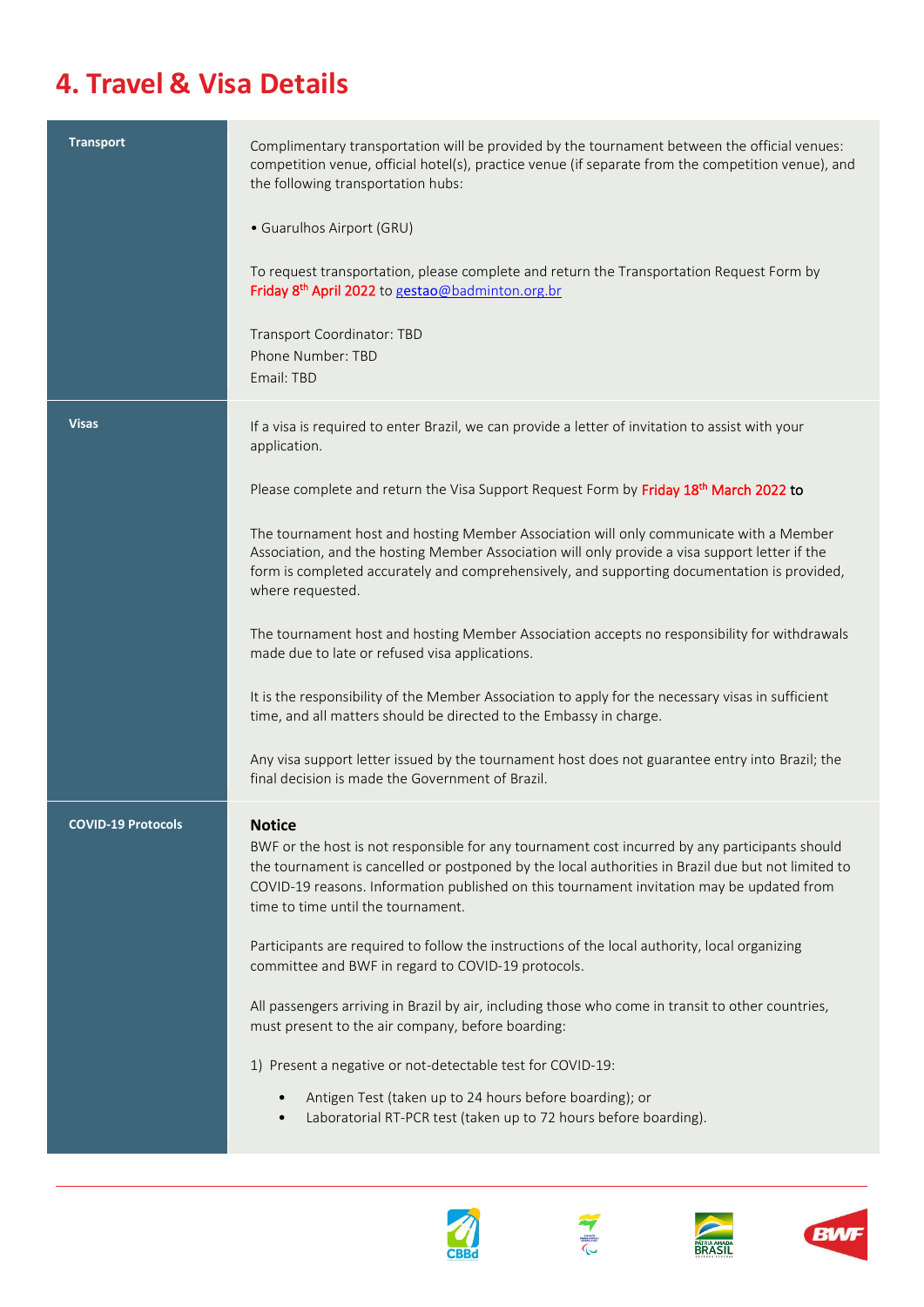# **4. Travel & Visa Details**

| <b>Transport</b>          | Complimentary transportation will be provided by the tournament between the official venues:<br>competition venue, official hotel(s), practice venue (if separate from the competition venue), and<br>the following transportation hubs:                                                                                                                 |
|---------------------------|----------------------------------------------------------------------------------------------------------------------------------------------------------------------------------------------------------------------------------------------------------------------------------------------------------------------------------------------------------|
|                           | • Guarulhos Airport (GRU)                                                                                                                                                                                                                                                                                                                                |
|                           | To request transportation, please complete and return the Transportation Request Form by<br>Friday 8 <sup>th</sup> April 2022 to gestao@badminton.org.br                                                                                                                                                                                                 |
|                           | Transport Coordinator: TBD<br>Phone Number: TBD<br>Email: TBD                                                                                                                                                                                                                                                                                            |
| <b>Visas</b>              | If a visa is required to enter Brazil, we can provide a letter of invitation to assist with your<br>application.                                                                                                                                                                                                                                         |
|                           | Please complete and return the Visa Support Request Form by Friday 18th March 2022 to                                                                                                                                                                                                                                                                    |
|                           | The tournament host and hosting Member Association will only communicate with a Member<br>Association, and the hosting Member Association will only provide a visa support letter if the<br>form is completed accurately and comprehensively, and supporting documentation is provided,<br>where requested.                                              |
|                           | The tournament host and hosting Member Association accepts no responsibility for withdrawals<br>made due to late or refused visa applications.                                                                                                                                                                                                           |
|                           | It is the responsibility of the Member Association to apply for the necessary visas in sufficient<br>time, and all matters should be directed to the Embassy in charge.                                                                                                                                                                                  |
|                           | Any visa support letter issued by the tournament host does not guarantee entry into Brazil; the<br>final decision is made the Government of Brazil.                                                                                                                                                                                                      |
| <b>COVID-19 Protocols</b> | <b>Notice</b><br>BWF or the host is not responsible for any tournament cost incurred by any participants should<br>the tournament is cancelled or postponed by the local authorities in Brazil due but not limited to<br>COVID-19 reasons. Information published on this tournament invitation may be updated from<br>time to time until the tournament. |
|                           | Participants are required to follow the instructions of the local authority, local organizing<br>committee and BWF in regard to COVID-19 protocols.                                                                                                                                                                                                      |
|                           | All passengers arriving in Brazil by air, including those who come in transit to other countries,<br>must present to the air company, before boarding:                                                                                                                                                                                                   |
|                           | 1) Present a negative or not-detectable test for COVID-19:                                                                                                                                                                                                                                                                                               |
|                           | Antigen Test (taken up to 24 hours before boarding); or<br>Laboratorial RT-PCR test (taken up to 72 hours before boarding).<br>$\bullet$                                                                                                                                                                                                                 |







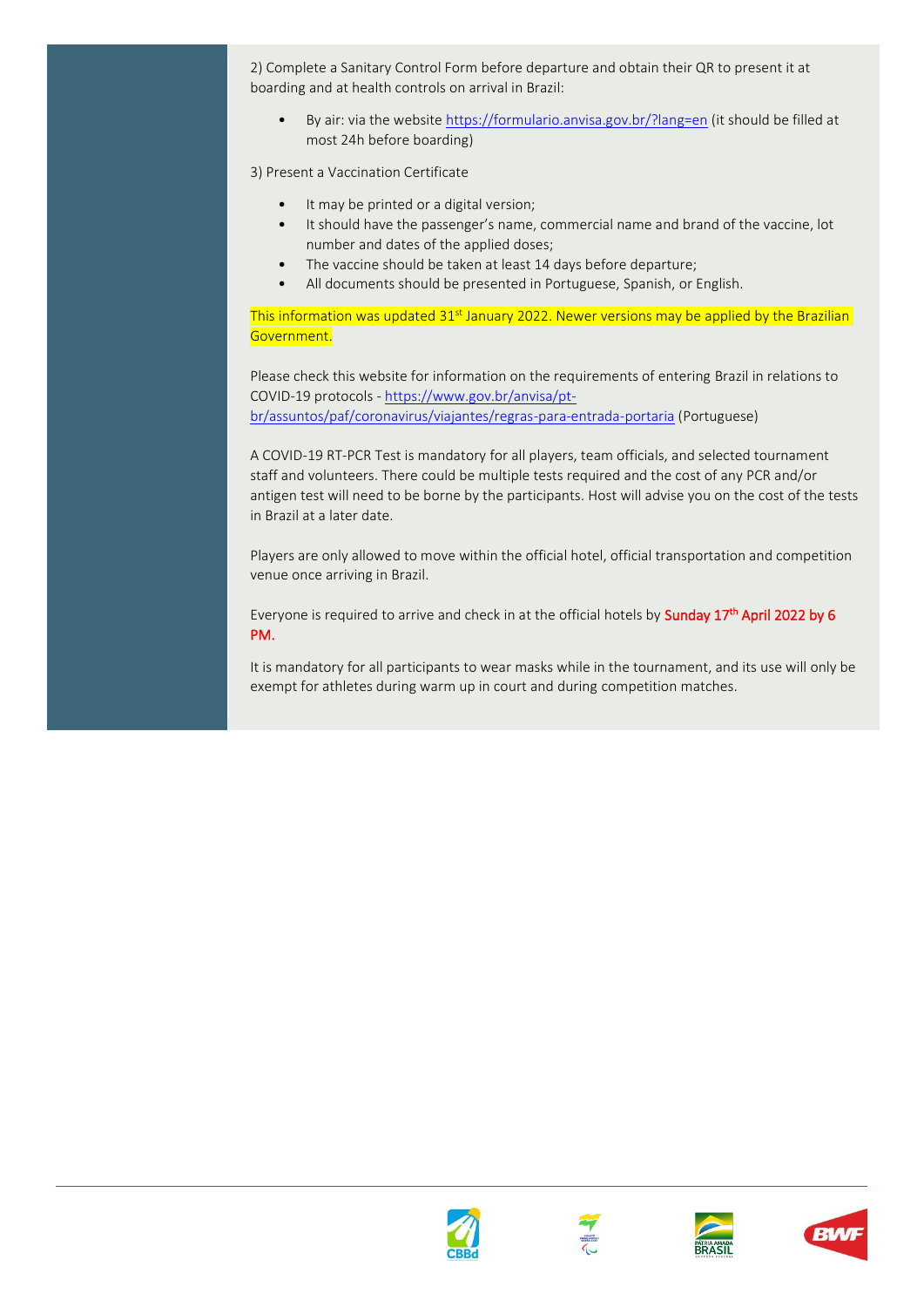2) Complete a Sanitary Control Form before departure and obtain their QR to present it at boarding and at health controls on arrival in Brazil:

• By air: via the websit[e https://formulario.anvisa.gov.br/?lang=en](https://formulario.anvisa.gov.br/?lang=en) (it should be filled at most 24h before boarding)

3) Present a Vaccination Certificate

- It may be printed or a digital version;
- It should have the passenger's name, commercial name and brand of the vaccine, lot number and dates of the applied doses;
- The vaccine should be taken at least 14 days before departure;
- All documents should be presented in Portuguese, Spanish, or English.

This information was updated  $31<sup>st</sup>$  January 2022. Newer versions may be applied by the Brazilian Government.

Please check this website for information on the requirements of entering Brazil in relations to COVID-19 protocols - [https://www.gov.br/anvisa/pt](https://www.gov.br/anvisa/pt-br/assuntos/paf/coronavirus/viajantes/regras-para-entrada-portaria)[br/assuntos/paf/coronavirus/viajantes/regras-para-entrada-portaria](https://www.gov.br/anvisa/pt-br/assuntos/paf/coronavirus/viajantes/regras-para-entrada-portaria) (Portuguese)

A COVID-19 RT-PCR Test is mandatory for all players, team officials, and selected tournament staff and volunteers. There could be multiple tests required and the cost of any PCR and/or antigen test will need to be borne by the participants. Host will advise you on the cost of the tests in Brazil at a later date.

Players are only allowed to move within the official hotel, official transportation and competition venue once arriving in Brazil.

Everyone is required to arrive and check in at the official hotels by **Sunday 17<sup>th</sup> April 2022 by 6** PM.

It is mandatory for all participants to wear masks while in the tournament, and its use will only be exempt for athletes during warm up in court and during competition matches.







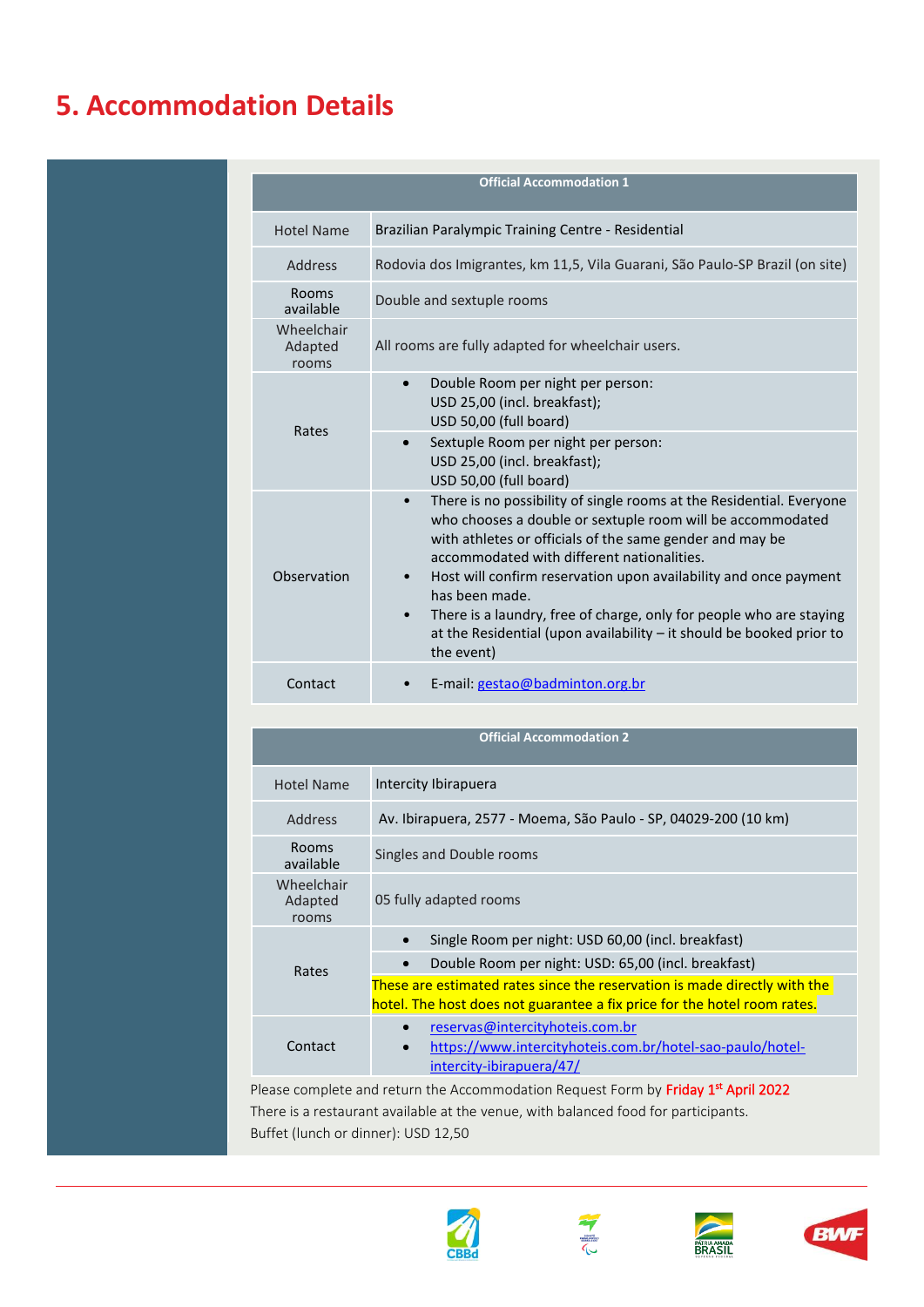## **5. Accommodation Details**

|                                | <b>Official Accommodation 1</b>                                                                                                                                                                                                                                                                                                                                                                                                                                                                                             |
|--------------------------------|-----------------------------------------------------------------------------------------------------------------------------------------------------------------------------------------------------------------------------------------------------------------------------------------------------------------------------------------------------------------------------------------------------------------------------------------------------------------------------------------------------------------------------|
| <b>Hotel Name</b>              | Brazilian Paralympic Training Centre - Residential                                                                                                                                                                                                                                                                                                                                                                                                                                                                          |
| <b>Address</b>                 | Rodovia dos Imigrantes, km 11,5, Vila Guarani, São Paulo-SP Brazil (on site)                                                                                                                                                                                                                                                                                                                                                                                                                                                |
| <b>Rooms</b><br>available      | Double and sextuple rooms                                                                                                                                                                                                                                                                                                                                                                                                                                                                                                   |
| Wheelchair<br>Adapted<br>rooms | All rooms are fully adapted for wheelchair users.                                                                                                                                                                                                                                                                                                                                                                                                                                                                           |
| Rates                          | Double Room per night per person:<br>USD 25,00 (incl. breakfast);<br>USD 50,00 (full board)<br>Sextuple Room per night per person:<br>$\bullet$<br>USD 25,00 (incl. breakfast);<br>USD 50,00 (full board)                                                                                                                                                                                                                                                                                                                   |
| Observation                    | There is no possibility of single rooms at the Residential. Everyone<br>$\bullet$<br>who chooses a double or sextuple room will be accommodated<br>with athletes or officials of the same gender and may be<br>accommodated with different nationalities.<br>Host will confirm reservation upon availability and once payment<br>$\bullet$<br>has been made.<br>There is a laundry, free of charge, only for people who are staying<br>at the Residential (upon availability $-$ it should be booked prior to<br>the event) |
| Contact                        | E-mail: gestao@badminton.org.br                                                                                                                                                                                                                                                                                                                                                                                                                                                                                             |

| Intercity Ibirapuera<br><b>Hotel Name</b><br>Av. Ibirapuera, 2577 - Moema, São Paulo - SP, 04029-200 (10 km)<br><b>Address</b>                                | <b>Official Accommodation 2</b> |  |  |
|---------------------------------------------------------------------------------------------------------------------------------------------------------------|---------------------------------|--|--|
|                                                                                                                                                               |                                 |  |  |
|                                                                                                                                                               |                                 |  |  |
| <b>Rooms</b><br>Singles and Double rooms<br>available                                                                                                         |                                 |  |  |
| Wheelchair<br>05 fully adapted rooms<br>Adapted<br>rooms                                                                                                      |                                 |  |  |
| Single Room per night: USD 60,00 (incl. breakfast)<br>$\bullet$                                                                                               |                                 |  |  |
| Double Room per night: USD: 65,00 (incl. breakfast)<br>Rates                                                                                                  |                                 |  |  |
| These are estimated rates since the reservation is made directly with the<br>hotel. The host does not guarantee a fix price for the hotel room rates.         |                                 |  |  |
| reservas@intercityhoteis.com.br<br>$\bullet$<br>Contact<br>https://www.intercityhoteis.com.br/hotel-sao-paulo/hotel-<br>$\bullet$<br>intercity-ibirapuera/47/ |                                 |  |  |

Please complete and return the Accommodation Request Form by Friday 1st April 2022 There is a restaurant available at the venue, with balanced food for participants. Buffet (lunch or dinner): USD 12,50